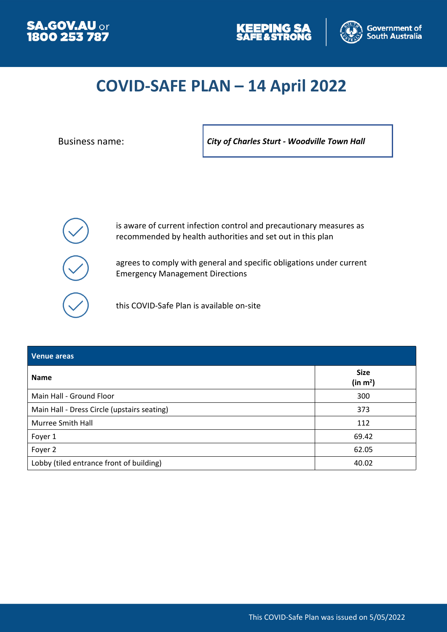





# **COVID-SAFE PLAN – 14 April 2022**

Business name: *City of Charles Sturt - Woodville Town Hall*

is aware of current infection control and precautionary measures as recommended by health authorities and set out in this plan

agrees to comply with general and specific obligations under current Emergency Management Directions

this COVID-Safe Plan is available on-site

| <b>Venue areas</b>                          |                                     |
|---------------------------------------------|-------------------------------------|
| <b>Name</b>                                 | <b>Size</b><br>(in m <sup>2</sup> ) |
| Main Hall - Ground Floor                    | 300                                 |
| Main Hall - Dress Circle (upstairs seating) | 373                                 |
| Murree Smith Hall                           | 112                                 |
| Foyer 1                                     | 69.42                               |
| Foyer 2                                     | 62.05                               |
| Lobby (tiled entrance front of building)    | 40.02                               |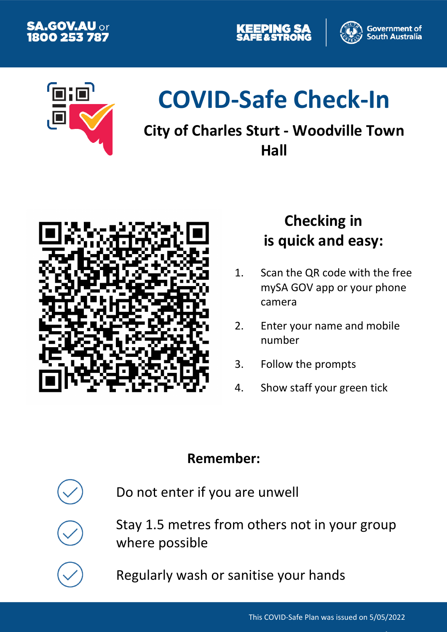





# **COVID-Safe Check-In**

# **City of Charles Sturt - Woodville Town Hall**



# **Checking in is quick and easy:**

- 1. Scan the QR code with the free mySA GOV app or your phone camera
- 2. Enter your name and mobile number
- 3. Follow the prompts
- 4. Show staff your green tick

# **Remember:**

Do not enter if you are unwell

Stay 1.5 metres from others not in your group where possible

Regularly wash or sanitise your hands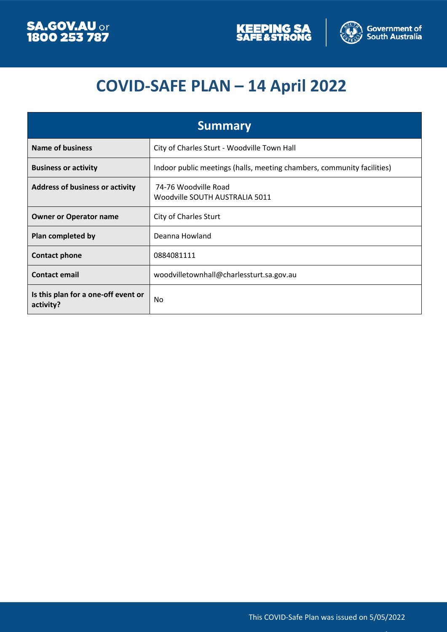



# **COVID-SAFE PLAN – 14 April 2022**

| <b>Summary</b>                                   |                                                                        |
|--------------------------------------------------|------------------------------------------------------------------------|
| <b>Name of business</b>                          | City of Charles Sturt - Woodville Town Hall                            |
| <b>Business or activity</b>                      | Indoor public meetings (halls, meeting chambers, community facilities) |
| <b>Address of business or activity</b>           | 74-76 Woodville Road<br>Woodville SOUTH AUSTRALIA 5011                 |
| <b>Owner or Operator name</b>                    | <b>City of Charles Sturt</b>                                           |
| Plan completed by                                | Deanna Howland                                                         |
| <b>Contact phone</b>                             | 0884081111                                                             |
| <b>Contact email</b>                             | woodvilletownhall@charlessturt.sa.gov.au                               |
| Is this plan for a one-off event or<br>activity? | No                                                                     |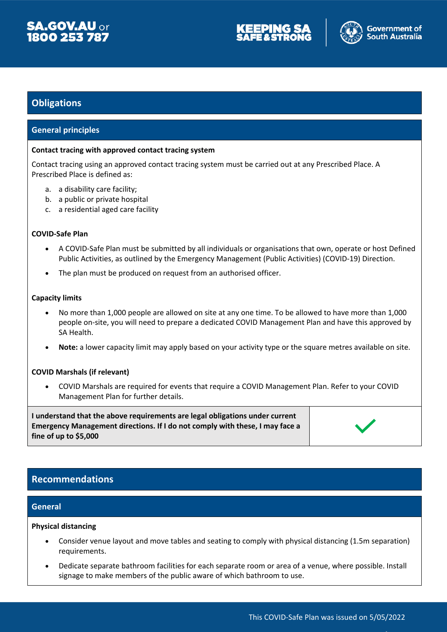





# **Obligations**

# **General principles**

#### **Contact tracing with approved contact tracing system**

Contact tracing using an approved contact tracing system must be carried out at any Prescribed Place. A Prescribed Place is defined as:

- a. a disability care facility;
- b. a public or private hospital
- c. a residential aged care facility

#### **COVID-Safe Plan**

- A COVID-Safe Plan must be submitted by all individuals or organisations that own, operate or host Defined Public Activities, as outlined by the Emergency Management (Public Activities) (COVID-19) Direction.
- The plan must be produced on request from an authorised officer.

#### **Capacity limits**

- No more than 1,000 people are allowed on site at any one time. To be allowed to have more than 1,000 people on-site, you will need to prepare a dedicated COVID Management Plan and have this approved by SA Health.
- **Note:** a lower capacity limit may apply based on your activity type or the square metres available on site.

## **COVID Marshals (if relevant)**

 COVID Marshals are required for events that require a COVID Management Plan. Refer to your COVID Management Plan for further details.

**I understand that the above requirements are legal obligations under current Emergency Management directions. If I do not comply with these, I may face a fine of up to \$5,000**



# **Recommendations**

# **General**

#### **Physical distancing**

- Consider venue layout and move tables and seating to comply with physical distancing (1.5m separation) requirements.
- Dedicate separate bathroom facilities for each separate room or area of a venue, where possible. Install signage to make members of the public aware of which bathroom to use.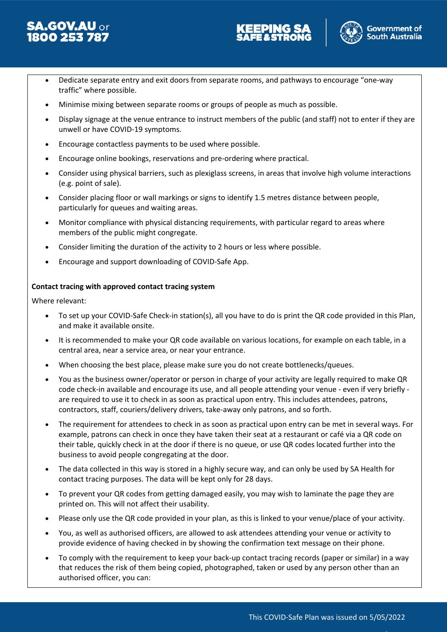





- Dedicate separate entry and exit doors from separate rooms, and pathways to encourage "one-way traffic" where possible.
- Minimise mixing between separate rooms or groups of people as much as possible.
- Display signage at the venue entrance to instruct members of the public (and staff) not to enter if they are unwell or have COVID-19 symptoms.
- Encourage contactless payments to be used where possible.
- Encourage online bookings, reservations and pre-ordering where practical.
- Consider using physical barriers, such as plexiglass screens, in areas that involve high volume interactions (e.g. point of sale).
- Consider placing floor or wall markings or signs to identify 1.5 metres distance between people, particularly for queues and waiting areas.
- Monitor compliance with physical distancing requirements, with particular regard to areas where members of the public might congregate.
- Consider limiting the duration of the activity to 2 hours or less where possible.
- Encourage and support downloading of COVID-Safe App.

# **Contact tracing with approved contact tracing system**

Where relevant:

- To set up your COVID-Safe Check-in station(s), all you have to do is print the QR code provided in this Plan, and make it available onsite.
- It is recommended to make your QR code available on various locations, for example on each table, in a central area, near a service area, or near your entrance.
- When choosing the best place, please make sure you do not create bottlenecks/queues.
- You as the business owner/operator or person in charge of your activity are legally required to make QR code check-in available and encourage its use, and all people attending your venue - even if very briefly are required to use it to check in as soon as practical upon entry. This includes attendees, patrons, contractors, staff, couriers/delivery drivers, take-away only patrons, and so forth.
- The requirement for attendees to check in as soon as practical upon entry can be met in several ways. For example, patrons can check in once they have taken their seat at a restaurant or café via a QR code on their table, quickly check in at the door if there is no queue, or use QR codes located further into the business to avoid people congregating at the door.
- The data collected in this way is stored in a highly secure way, and can only be used by SA Health for contact tracing purposes. The data will be kept only for 28 days.
- To prevent your QR codes from getting damaged easily, you may wish to laminate the page they are printed on. This will not affect their usability.
- Please only use the QR code provided in your plan, as this is linked to your venue/place of your activity.
- You, as well as authorised officers, are allowed to ask attendees attending your venue or activity to provide evidence of having checked in by showing the confirmation text message on their phone.
- To comply with the requirement to keep your back-up contact tracing records (paper or similar) in a way that reduces the risk of them being copied, photographed, taken or used by any person other than an authorised officer, you can: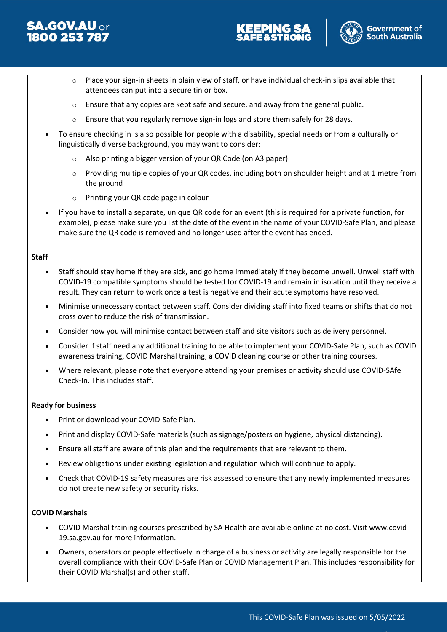





- $\circ$  Place your sign-in sheets in plain view of staff, or have individual check-in slips available that attendees can put into a secure tin or box.
- $\circ$  Ensure that any copies are kept safe and secure, and away from the general public.
- $\circ$  Ensure that you regularly remove sign-in logs and store them safely for 28 days.
- To ensure checking in is also possible for people with a disability, special needs or from a culturally or linguistically diverse background, you may want to consider:
	- o Also printing a bigger version of your QR Code (on A3 paper)
	- o Providing multiple copies of your QR codes, including both on shoulder height and at 1 metre from the ground
	- o Printing your QR code page in colour
- If you have to install a separate, unique QR code for an event (this is required for a private function, for example), please make sure you list the date of the event in the name of your COVID-Safe Plan, and please make sure the QR code is removed and no longer used after the event has ended.

## **Staff**

- Staff should stay home if they are sick, and go home immediately if they become unwell. Unwell staff with COVID-19 compatible symptoms should be tested for COVID-19 and remain in isolation until they receive a result. They can return to work once a test is negative and their acute symptoms have resolved.
- Minimise unnecessary contact between staff. Consider dividing staff into fixed teams or shifts that do not cross over to reduce the risk of transmission.
- Consider how you will minimise contact between staff and site visitors such as delivery personnel.
- Consider if staff need any additional training to be able to implement your COVID-Safe Plan, such as COVID awareness training, COVID Marshal training, a COVID cleaning course or other training courses.
- Where relevant, please note that everyone attending your premises or activity should use COVID-SAfe Check-In. This includes staff.

## **Ready for business**

- Print or download your COVID-Safe Plan.
- Print and display COVID-Safe materials (such as signage/posters on hygiene, physical distancing).
- Ensure all staff are aware of this plan and the requirements that are relevant to them.
- Review obligations under existing legislation and regulation which will continue to apply.
- Check that COVID-19 safety measures are risk assessed to ensure that any newly implemented measures do not create new safety or security risks.

## **COVID Marshals**

- COVID Marshal training courses prescribed by SA Health are available online at no cost. Visit www.covid-19.sa.gov.au for more information.
- Owners, operators or people effectively in charge of a business or activity are legally responsible for the overall compliance with their COVID-Safe Plan or COVID Management Plan. This includes responsibility for their COVID Marshal(s) and other staff.